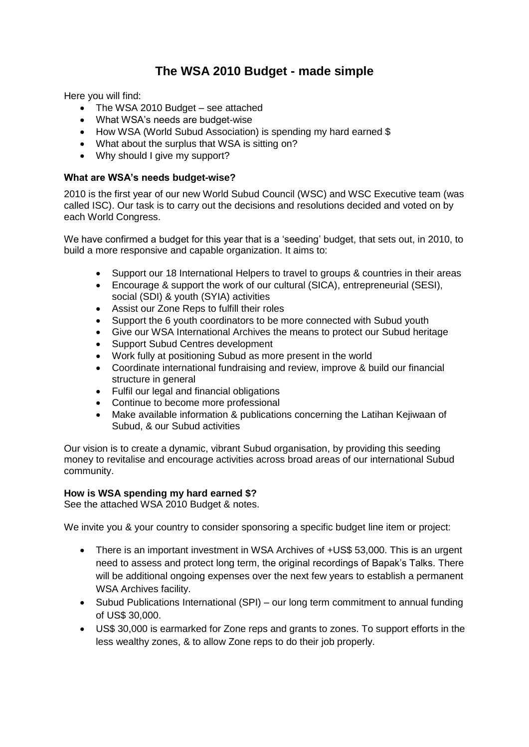# **The WSA 2010 Budget - made simple**

Here you will find:

- The WSA 2010 Budget see attached
- What WSA's needs are budget-wise
- How WSA (World Subud Association) is spending my hard earned \$
- What about the surplus that WSA is sitting on?
- Why should I give my support?

### **What are WSA's needs budget-wise?**

2010 is the first year of our new World Subud Council (WSC) and WSC Executive team (was called ISC). Our task is to carry out the decisions and resolutions decided and voted on by each World Congress.

We have confirmed a budget for this year that is a "seeding" budget, that sets out, in 2010, to build a more responsive and capable organization. It aims to:

- Support our 18 International Helpers to travel to groups & countries in their areas
- Encourage & support the work of our cultural (SICA), entrepreneurial (SESI), social (SDI) & youth (SYIA) activities
- Assist our Zone Reps to fulfill their roles
- Support the 6 youth coordinators to be more connected with Subud youth
- Give our WSA International Archives the means to protect our Subud heritage
- Support Subud Centres development
- Work fully at positioning Subud as more present in the world
- Coordinate international fundraising and review, improve & build our financial structure in general
- Fulfil our legal and financial obligations
- Continue to become more professional
- Make available information & publications concerning the Latihan Kejiwaan of Subud, & our Subud activities

Our vision is to create a dynamic, vibrant Subud organisation, by providing this seeding money to revitalise and encourage activities across broad areas of our international Subud community.

#### **How is WSA spending my hard earned \$?**

See the attached WSA 2010 Budget & notes.

We invite you & your country to consider sponsoring a specific budget line item or project:

- There is an important investment in WSA Archives of +US\$ 53,000. This is an urgent need to assess and protect long term, the original recordings of Bapak"s Talks. There will be additional ongoing expenses over the next few years to establish a permanent WSA Archives facility.
- Subud Publications International (SPI) our long term commitment to annual funding of US\$ 30,000.
- US\$ 30,000 is earmarked for Zone reps and grants to zones. To support efforts in the less wealthy zones, & to allow Zone reps to do their job properly.